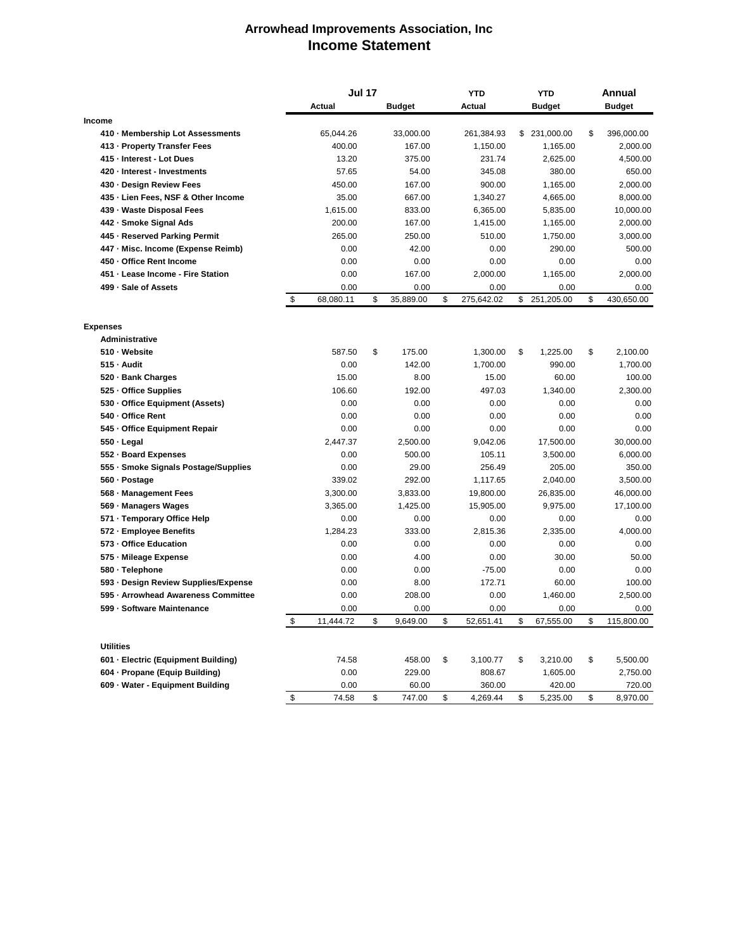## **Arrowhead Improvements Association, Inc Income Statement**

|                                      | <b>Jul 17</b> |           |    | <b>YTD</b>    |    | <b>YTD</b> |    | <b>Annual</b> |    |               |
|--------------------------------------|---------------|-----------|----|---------------|----|------------|----|---------------|----|---------------|
|                                      |               | Actual    |    | <b>Budget</b> |    | Actual     |    | <b>Budget</b> |    | <b>Budget</b> |
| Income                               |               |           |    |               |    |            |    |               |    |               |
| 410 · Membership Lot Assessments     |               | 65,044.26 |    | 33,000.00     |    | 261,384.93 | \$ | 231,000.00    | \$ | 396,000.00    |
| 413 - Property Transfer Fees         |               | 400.00    |    | 167.00        |    | 1,150.00   |    | 1,165.00      |    | 2,000.00      |
| 415 - Interest - Lot Dues            |               | 13.20     |    | 375.00        |    | 231.74     |    | 2,625.00      |    | 4,500.00      |
| 420 · Interest - Investments         |               | 57.65     |    | 54.00         |    | 345.08     |    | 380.00        |    | 650.00        |
| 430 - Design Review Fees             |               | 450.00    |    | 167.00        |    | 900.00     |    | 1,165.00      |    | 2,000.00      |
| 435 - Lien Fees, NSF & Other Income  |               | 35.00     |    | 667.00        |    | 1.340.27   |    | 4,665.00      |    | 8,000.00      |
| 439 - Waste Disposal Fees            |               | 1,615.00  |    | 833.00        |    | 6,365.00   |    | 5,835.00      |    | 10,000.00     |
| 442 - Smoke Signal Ads               |               | 200.00    |    | 167.00        |    | 1,415.00   |    | 1,165.00      |    | 2,000.00      |
| 445 - Reserved Parking Permit        |               | 265.00    |    | 250.00        |    | 510.00     |    | 1,750.00      |    | 3,000.00      |
| 447 - Misc. Income (Expense Reimb)   |               | 0.00      |    | 42.00         |    | 0.00       |    | 290.00        |    | 500.00        |
| 450 - Office Rent Income             |               | 0.00      |    | 0.00          |    | 0.00       |    | 0.00          |    | 0.00          |
| 451 - Lease Income - Fire Station    |               | 0.00      |    | 167.00        |    | 2,000.00   |    | 1,165.00      |    | 2,000.00      |
| 499 - Sale of Assets                 |               | 0.00      |    | 0.00          |    | 0.00       |    | 0.00          |    | 0.00          |
|                                      | \$            | 68,080.11 | \$ | 35,889.00     | \$ | 275,642.02 | \$ | 251,205.00    | \$ | 430,650.00    |
| <b>Expenses</b>                      |               |           |    |               |    |            |    |               |    |               |
| <b>Administrative</b>                |               |           |    |               |    |            |    |               |    |               |
| 510 - Website                        |               | 587.50    | \$ | 175.00        |    | 1,300.00   | \$ | 1,225.00      | \$ | 2,100.00      |
| 515 - Audit                          |               | 0.00      |    | 142.00        |    | 1,700.00   |    | 990.00        |    | 1,700.00      |
| 520 · Bank Charges                   |               | 15.00     |    | 8.00          |    | 15.00      |    | 60.00         |    | 100.00        |
| 525 · Office Supplies                |               | 106.60    |    | 192.00        |    | 497.03     |    | 1,340.00      |    | 2,300.00      |
| 530 · Office Equipment (Assets)      |               | 0.00      |    | 0.00          |    | 0.00       |    | 0.00          |    | 0.00          |
| 540 - Office Rent                    |               | 0.00      |    | 0.00          |    | 0.00       |    | 0.00          |    | 0.00          |
| 545 - Office Equipment Repair        |               | 0.00      |    | 0.00          |    | 0.00       |    | 0.00          |    | 0.00          |
| 550 · Legal                          |               | 2,447.37  |    | 2,500.00      |    | 9,042.06   |    | 17,500.00     |    | 30,000.00     |
| 552 - Board Expenses                 |               | 0.00      |    | 500.00        |    | 105.11     |    | 3,500.00      |    | 6,000.00      |
| 555 · Smoke Signals Postage/Supplies |               | 0.00      |    | 29.00         |    | 256.49     |    | 205.00        |    | 350.00        |
| 560 · Postage                        |               | 339.02    |    | 292.00        |    | 1.117.65   |    | 2,040.00      |    | 3,500.00      |
| 568 - Management Fees                |               | 3,300.00  |    | 3,833.00      |    | 19,800.00  |    | 26,835.00     |    | 46,000.00     |
| 569 - Managers Wages                 |               | 3,365.00  |    | 1,425.00      |    | 15,905.00  |    | 9,975.00      |    | 17,100.00     |
| 571 - Temporary Office Help          |               | 0.00      |    | 0.00          |    | 0.00       |    | 0.00          |    | 0.00          |
| 572 - Employee Benefits              |               | 1,284.23  |    | 333.00        |    | 2,815.36   |    | 2,335.00      |    | 4,000.00      |
| 573 - Office Education               |               | 0.00      |    | 0.00          |    | 0.00       |    | 0.00          |    | 0.00          |
| 575 - Mileage Expense                |               | 0.00      |    | 4.00          |    | 0.00       |    | 30.00         |    | 50.00         |
| 580 · Telephone                      |               | 0.00      |    | 0.00          |    | $-75.00$   |    | 0.00          |    | 0.00          |
| 593 - Design Review Supplies/Expense |               | 0.00      |    | 8.00          |    | 172.71     |    | 60.00         |    | 100.00        |
| 595 - Arrowhead Awareness Committee  |               | 0.00      |    | 208.00        |    | 0.00       |    | 1,460.00      |    | 2,500.00      |
| 599 - Software Maintenance           |               | 0.00      |    | 0.00          |    | 0.00       |    | 0.00          |    | 0.00          |
|                                      | \$            | 11,444.72 | \$ | 9,649.00      | \$ | 52,651.41  | \$ | 67,555.00     | \$ | 115,800.00    |
| <b>Utilities</b>                     |               |           |    |               |    |            |    |               |    |               |
| 601 - Electric (Equipment Building)  |               | 74.58     |    | 458.00        | \$ | 3,100.77   | \$ | 3,210.00      | \$ | 5,500.00      |
| 604 - Propane (Equip Building)       |               | 0.00      |    | 229.00        |    | 808.67     |    | 1,605.00      |    | 2,750.00      |
| 609 - Water - Equipment Building     |               | 0.00      |    | 60.00         |    | 360.00     |    | 420.00        |    | 720.00        |
|                                      | \$            | 74.58     | \$ | 747.00        | \$ | 4,269.44   | \$ | 5,235.00      | \$ | 8,970.00      |
|                                      |               |           |    |               |    |            |    |               |    |               |